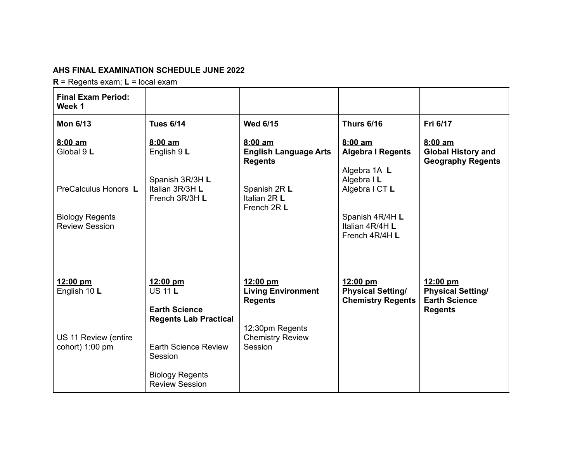## **AHS FINAL EXAMINATION SCHEDULE JUNE 2022**

**R** = Regents exam; **L** = local exam

| <b>Final Exam Period:</b><br>Week 1             |                                                                        |                                                           |                                                                  |                                                                                |
|-------------------------------------------------|------------------------------------------------------------------------|-----------------------------------------------------------|------------------------------------------------------------------|--------------------------------------------------------------------------------|
| <b>Mon 6/13</b>                                 | <b>Tues 6/14</b>                                                       | <b>Wed 6/15</b>                                           | <b>Thurs 6/16</b>                                                | Fri 6/17                                                                       |
| $8:00$ am<br>Global 9 L                         | $8:00$ am<br>English 9 L                                               | 8:00 am<br><b>English Language Arts</b><br><b>Regents</b> | $8:00$ am<br><b>Algebra I Regents</b>                            | 8:00 am<br><b>Global History and</b><br><b>Geography Regents</b>               |
| PreCalculus Honors L                            | Spanish 3R/3H L<br>Italian 3R/3H L<br>French 3R/3H L                   | Spanish 2R L<br>Italian 2R L<br>French 2R L               | Algebra 1A L<br>Algebra I L<br>Algebra I CT L                    |                                                                                |
| <b>Biology Regents</b><br><b>Review Session</b> |                                                                        |                                                           | Spanish 4R/4H L<br>Italian 4R/4H L<br>French 4R/4H L             |                                                                                |
| 12:00 pm<br>English 10 L                        | 12:00 pm<br><b>US 11 L</b><br><b>Earth Science</b>                     | 12:00 pm<br><b>Living Environment</b><br><b>Regents</b>   | 12:00 pm<br><b>Physical Setting/</b><br><b>Chemistry Regents</b> | 12:00 pm<br><b>Physical Setting/</b><br><b>Earth Science</b><br><b>Regents</b> |
| US 11 Review (entire<br>cohort) 1:00 pm         | <b>Regents Lab Practical</b><br><b>Earth Science Review</b><br>Session | 12:30pm Regents<br><b>Chemistry Review</b><br>Session     |                                                                  |                                                                                |
|                                                 | <b>Biology Regents</b><br><b>Review Session</b>                        |                                                           |                                                                  |                                                                                |